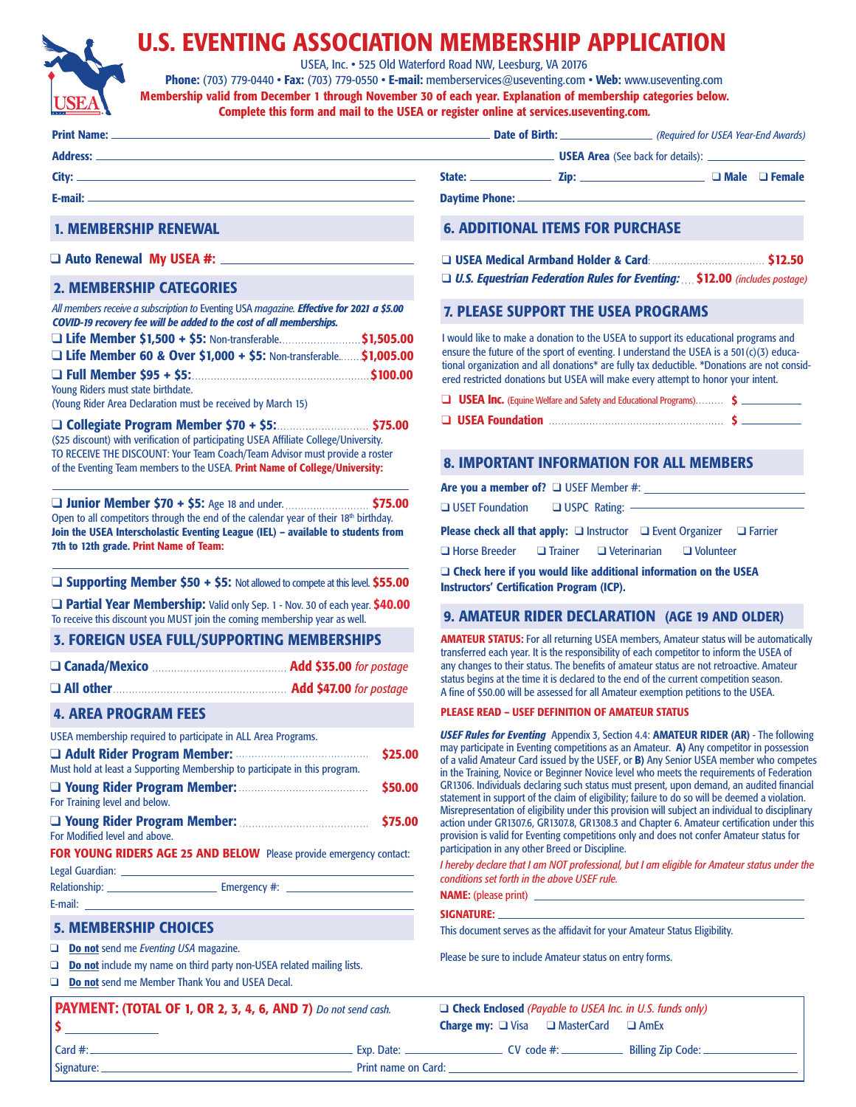

# U.S. EVENTING ASSOCIATION MEMBERSHIP APPLICATION

USEA, Inc. • 525 Old Waterford Road NW, Leesburg, VA 20176

Membership valid from December 1 through November 30 of each year. Explanation of membership categories below. Complete this form and mail to the USEA or register online at services.useventing.com*.* Phone: (703) 779-0440 • Fax: (703) 779-0550 • E-mail: memberservices@useventing.com • Web: www.useventing.com

|                                                                                                                                                                                                                                                                                                         | Date of Birth: <u>Charles and Chaptaired for USEA Year-End Awards</u>                                                                                                                                                                                                                                                                                                              |
|---------------------------------------------------------------------------------------------------------------------------------------------------------------------------------------------------------------------------------------------------------------------------------------------------------|------------------------------------------------------------------------------------------------------------------------------------------------------------------------------------------------------------------------------------------------------------------------------------------------------------------------------------------------------------------------------------|
|                                                                                                                                                                                                                                                                                                         |                                                                                                                                                                                                                                                                                                                                                                                    |
|                                                                                                                                                                                                                                                                                                         |                                                                                                                                                                                                                                                                                                                                                                                    |
|                                                                                                                                                                                                                                                                                                         |                                                                                                                                                                                                                                                                                                                                                                                    |
| <b>1. MEMBERSHIP RENEWAL</b>                                                                                                                                                                                                                                                                            | <b>6. ADDITIONAL ITEMS FOR PURCHASE</b>                                                                                                                                                                                                                                                                                                                                            |
|                                                                                                                                                                                                                                                                                                         |                                                                                                                                                                                                                                                                                                                                                                                    |
| <b>2. MEMBERSHIP CATEGORIES</b>                                                                                                                                                                                                                                                                         | <b>U.S. Equestrian Federation Rules for Eventing:  \$12.00</b> (includes postage)                                                                                                                                                                                                                                                                                                  |
| All members receive a subscription to Eventing USA magazine. Effective for 2021 a \$5.00<br><b>COVID-19 recovery fee will be added to the cost of all memberships.</b>                                                                                                                                  | <b>7. PLEASE SUPPORT THE USEA PROGRAMS</b>                                                                                                                                                                                                                                                                                                                                         |
| □ Life Member \$1,500 + \$5: Non-transferable\$1,505.00<br>□ Life Member 60 & Over \$1,000 + \$5: Non-transferable\$1,005.00                                                                                                                                                                            | I would like to make a donation to the USEA to support its educational programs and<br>ensure the future of the sport of eventing. I understand the USEA is a $501(c)(3)$ educa-<br>tional organization and all donations* are fully tax deductible. *Donations are not consid-<br>ered restricted donations but USEA will make every attempt to honor your intent.                |
| Young Riders must state birthdate.<br>(Young Rider Area Declaration must be received by March 15)                                                                                                                                                                                                       | <b>USEA Inc.</b> (Equine Welfare and Safety and Educational Programs) \$                                                                                                                                                                                                                                                                                                           |
| □ Collegiate Program Member \$70 + \$5:  \$75.00<br>(\$25 discount) with verification of participating USEA Affiliate College/University.<br>TO RECEIVE THE DISCOUNT: Your Team Coach/Team Advisor must provide a roster<br>of the Eventing Team members to the USEA. Print Name of College/University: |                                                                                                                                                                                                                                                                                                                                                                                    |
|                                                                                                                                                                                                                                                                                                         | <b>8. IMPORTANT INFORMATION FOR ALL MEMBERS</b>                                                                                                                                                                                                                                                                                                                                    |
|                                                                                                                                                                                                                                                                                                         |                                                                                                                                                                                                                                                                                                                                                                                    |
|                                                                                                                                                                                                                                                                                                         | USET Foundation USPC Rating:                                                                                                                                                                                                                                                                                                                                                       |
| Open to all competitors through the end of the calendar year of their 18th birthday.<br>Join the USEA Interscholastic Eventing League (IEL) - available to students from                                                                                                                                | <b>Please check all that apply:</b> $\square$ Instructor $\square$ Event Organizer $\square$ Farrier                                                                                                                                                                                                                                                                               |
| 7th to 12th grade. Print Name of Team:                                                                                                                                                                                                                                                                  | $\Box$ Horse Breeder<br>$\Box$ Trainer $\Box$ Veterinarian<br>$\Box$ Volunteer                                                                                                                                                                                                                                                                                                     |
| $\Box$ Supporting Member \$50 + \$5: Not allowed to compete at this level. \$55.00                                                                                                                                                                                                                      | $\Box$ Check here if you would like additional information on the USEA<br><b>Instructors' Certification Program (ICP).</b>                                                                                                                                                                                                                                                         |
| <b>D</b> Partial Year Membership: Valid only Sep. 1 - Nov. 30 of each year. \$40.00<br>To receive this discount you MUST join the coming membership year as well.                                                                                                                                       | 9. AMATEUR RIDER DECLARATION (AGE 19 AND OLDER)                                                                                                                                                                                                                                                                                                                                    |
| 3. FOREIGN USEA FULL/SUPPORTING MEMBERSHIPS                                                                                                                                                                                                                                                             | <b>AMATEUR STATUS:</b> For all returning USEA members, Amateur status will be automatically                                                                                                                                                                                                                                                                                        |
|                                                                                                                                                                                                                                                                                                         | transferred each year. It is the responsibility of each competitor to inform the USEA of<br>any changes to their status. The benefits of amateur status are not retroactive. Amateur                                                                                                                                                                                               |
|                                                                                                                                                                                                                                                                                                         | status begins at the time it is declared to the end of the current competition season.<br>A fine of \$50.00 will be assessed for all Amateur exemption petitions to the USEA.                                                                                                                                                                                                      |
| <b>4. AREA PROGRAM FEES</b>                                                                                                                                                                                                                                                                             | <b>PLEASE READ - USEF DEFINITION OF AMATEUR STATUS</b>                                                                                                                                                                                                                                                                                                                             |
| USEA membership required to participate in ALL Area Programs.<br>\$25.00<br>Must hold at least a Supporting Membership to participate in this program.                                                                                                                                                  | <b>USEF Rules for Eventing</b> Appendix 3, Section 4.4: <b>AMATEUR RIDER (AR)</b> - The following<br>may participate in Eventing competitions as an Amateur. A) Any competitor in possession<br>of a valid Amateur Card issued by the USEF, or B) Any Senior USEA member who competes<br>in the Training, Novice or Beginner Novice level who meets the requirements of Federation |
| \$50.00<br>For Training level and below.                                                                                                                                                                                                                                                                | GR1306. Individuals declaring such status must present, upon demand, an audited financial<br>statement in support of the claim of eligibility; failure to do so will be deemed a violation.<br>Misrepresentation of eligibility under this provision will subject an individual to disciplinary                                                                                    |
| Voung Rider Program Member: <b>Manual Lines and Artic Program Member:</b><br>\$75.00<br>For Modified level and above.                                                                                                                                                                                   | action under GR1307.6, GR1307.8, GR1308.3 and Chapter 6. Amateur certification under this<br>provision is valid for Eventing competitions only and does not confer Amateur status for                                                                                                                                                                                              |
| FOR YOUNG RIDERS AGE 25 AND BELOW Please provide emergency contact:                                                                                                                                                                                                                                     | participation in any other Breed or Discipline.<br>I hereby declare that I am NOT professional, but I am eligible for Amateur status under the                                                                                                                                                                                                                                     |
|                                                                                                                                                                                                                                                                                                         | conditions set forth in the above USEF rule.                                                                                                                                                                                                                                                                                                                                       |
|                                                                                                                                                                                                                                                                                                         | SIGNATURE: New York of the Committee of the Committee of the Committee of the Committee of the Committee of the                                                                                                                                                                                                                                                                    |
| <b>5. MEMBERSHIP CHOICES</b>                                                                                                                                                                                                                                                                            | This document serves as the affidavit for your Amateur Status Eligibility.                                                                                                                                                                                                                                                                                                         |
| <b>Do not</b> send me Eventing USA magazine.<br>$\Box$ <b>Do not</b> include my name on third party non-USEA related mailing lists.<br>Do not send me Member Thank You and USEA Decal.                                                                                                                  | Please be sure to include Amateur status on entry forms.                                                                                                                                                                                                                                                                                                                           |
| PAYMENT: (TOTAL OF 1, OR 2, 3, 4, 6, AND 7) Do not send cash.                                                                                                                                                                                                                                           | $\Box$ Check Enclosed (Payable to USEA Inc. in U.S. funds only)                                                                                                                                                                                                                                                                                                                    |
| \$.                                                                                                                                                                                                                                                                                                     | Charge my: □ Visa □ MasterCard □ AmEx                                                                                                                                                                                                                                                                                                                                              |
|                                                                                                                                                                                                                                                                                                         |                                                                                                                                                                                                                                                                                                                                                                                    |
|                                                                                                                                                                                                                                                                                                         |                                                                                                                                                                                                                                                                                                                                                                                    |